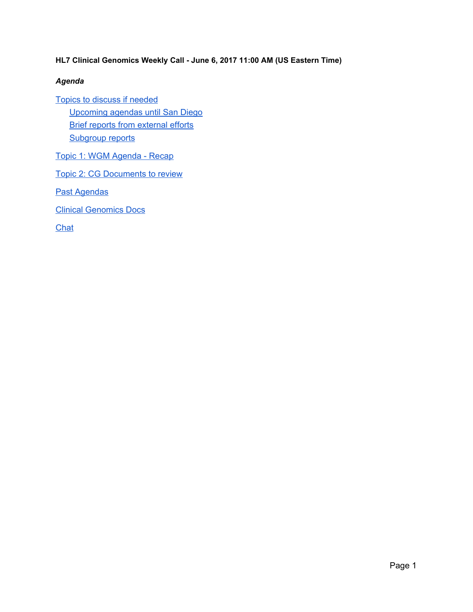**HL7 Clinical Genomics Weekly Call - June 6, 2017 11:00 AM (US Eastern Time)**

### *Agenda*

Topics to discuss if [needed](#page-1-0) [Upcoming](#page-1-2) agendas until San Diego Brief reports from [external](#page-1-1) efforts [Subgroup](#page-2-1) reports

Topic 1: WGM [Agenda](#page-2-0) - Recap

Topic 2: CG [Documents](#page-2-2) to review

Past [Agendas](#page-3-2)

Clinical [Genomics](#page-3-0) Docs

**[Chat](#page-3-1)**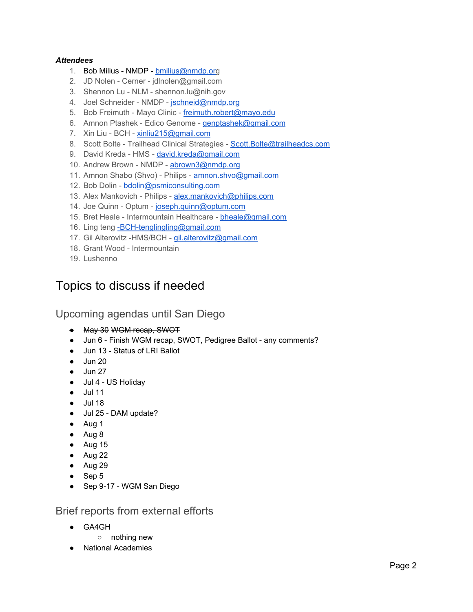#### *Attendees*

- 1. Bob Milius NMDP [bmilius@nmdp.org](mailto:bmilius@nmdp.org)
- 2. JD Nolen Cerner jdlnolen@gmail.com
- 3. Shennon Lu NLM shennon.lu@nih.gov
- 4. Joel Schneider NMDP [jschneid@nmdp.org](mailto:jschneid@nmdp.org)
- 5. Bob Freimuth Mayo Clinic [freimuth.robert@mayo.edu](mailto:freimuth.robert@mayo.edu)
- 6. Amnon Ptashek Edico Genome [genptashek@gmail.com](mailto:genptashek@gmail.com)
- 7. Xin Liu BCH [xinliu215@gmail.com](mailto:xinliu215@gmail.com)
- 8. Scott Bolte Trailhead Clinical Strategies Scott. Bolte@trailheadcs.com
- 9. David Kreda HMS [david.kreda@gmail.com](mailto:david.kreda@gmail.com)
- 10. Andrew Brown NMDP [abrown3@nmdp.org](mailto:abrown3@nmdp.org)
- 11. Amnon Shabo (Shvo) Philips [amnon.shvo@gmail.com](mailto:amnon.shvo@gmail.com)
- 12. Bob Dolin [bdolin@psmiconsulting.com](mailto:bdolin@psmiconsulting.com)
- 13. Alex Mankovich Philips [alex.mankovich@philips.com](mailto:alex.mankovich@philips.com)
- 14. Joe Quinn Optum [joseph.quinn@optum.com](mailto:joseph.quinn@optum.com)
- 15. Bret Heale Intermountain Healthcare [bheale@gmail.com](mailto:bheale@gmail.com)
- 16. Ling teng BCH-tenglingling@gmail.com
- 17. Gil Alterovitz -HMS/BCH [gil.alterovitz@gmail.com](mailto:gil.alterovitz@gmail.com)
- 18. Grant Wood Intermountain
- 19. Lushenno

### <span id="page-1-0"></span>Topics to discuss if needed

### <span id="page-1-2"></span>Upcoming agendas until San Diego

- May 30 WGM recap, SWOT
- Jun 6 Finish WGM recap, SWOT, Pedigree Ballot any comments?
- Jun 13 Status of LRI Ballot
- $\bullet$  Jun 20
- $\bullet$  Jun 27
- Jul 4 US Holiday
- Jul 11
- Jul 18
- Jul 25 DAM update?
- Aug 1
- Aug 8
- $\bullet$  Aug 15
- Aug 22
- Aug 29
- Sep 5
- Sep 9-17 WGM San Diego

<span id="page-1-1"></span>Brief reports from external efforts

- GA4GH
	- nothing new
	- **National Academies**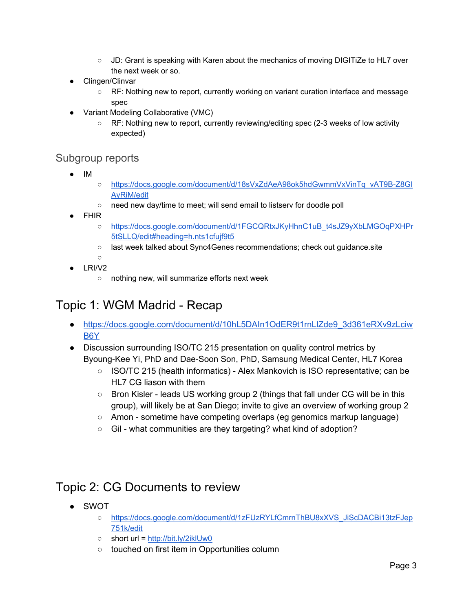- JD: Grant is speaking with Karen about the mechanics of moving DIGITiZe to HL7 over the next week or so.
- Clingen/Clinvar
	- RF: Nothing new to report, currently working on variant curation interface and message spec
- Variant Modeling Collaborative (VMC)
	- RF: Nothing new to report, currently reviewing/editing spec (2-3 weeks of low activity expected)

### <span id="page-2-1"></span>Subgroup reports

- IM
- [https://docs.google.com/document/d/18sVxZdAeA98ok5hdGwmmVxVinTq\\_vAT9B-Z8GI](https://docs.google.com/document/d/18sVxZdAeA98ok5hdGwmmVxVinTq_vAT9B-Z8GIAyRiM/edit) [AyRiM/edit](https://docs.google.com/document/d/18sVxZdAeA98ok5hdGwmmVxVinTq_vAT9B-Z8GIAyRiM/edit)
- need new day/time to meet; will send email to listserv for doodle poll
- FHIR
	- [https://docs.google.com/document/d/1FGCQRtxJKyHhnC1uB\\_t4sJZ9yXbLMGOqPXHPr](https://docs.google.com/document/d/1FGCQRtxJKyHhnC1uB_t4sJZ9yXbLMGOqPXHPr5tSLLQ/edit#heading=h.nts1cfujf9t5) [5tSLLQ/edit#heading=h.nts1cfujf9t5](https://docs.google.com/document/d/1FGCQRtxJKyHhnC1uB_t4sJZ9yXbLMGOqPXHPr5tSLLQ/edit#heading=h.nts1cfujf9t5)
	- last week talked about Sync4Genes recommendations; check out guidance.site
- $\circ$ LRI/V2
	- nothing new, will summarize efforts next week

# <span id="page-2-0"></span>Topic 1: WGM Madrid - Recap

- [https://docs.google.com/document/d/10hL5DAIn1OdER9t1rnLlZde9\\_3d361eRXv9zLciw](https://docs.google.com/document/d/10hL5DAIn1OdER9t1rnLlZde9_3d361eRXv9zLciwB6Y/edit) [B6Y](https://docs.google.com/document/d/10hL5DAIn1OdER9t1rnLlZde9_3d361eRXv9zLciwB6Y/edit)
- Discussion surrounding ISO/TC 215 presentation on quality control metrics by Byoung-Kee Yi, PhD and Dae-Soon Son, PhD, Samsung Medical Center, HL7 Korea
	- ISO/TC 215 (health informatics) Alex Mankovich is ISO representative; can be HL7 CG liason with them
	- Bron Kisler leads US working group 2 (things that fall under CG will be in this group), will likely be at San Diego; invite to give an overview of working group 2
	- Amon sometime have competing overlaps (eg genomics markup language)
	- Gil what communities are they targeting? what kind of adoption?

### <span id="page-2-2"></span>Topic 2: CG Documents to review

- SWOT
	- [https://docs.google.com/document/d/1zFUzRYLfCmrnThBU8xXVS\\_JiScDACBi13tzFJep](https://docs.google.com/document/d/1zFUzRYLfCmrnThBU8xXVS_JiScDACBi13tzFJep751k/edit) [751k/edit](https://docs.google.com/document/d/1zFUzRYLfCmrnThBU8xXVS_JiScDACBi13tzFJep751k/edit)
	- $\circ$  short url = <http://bit.ly/2iklUw0>
	- touched on first item in Opportunities column